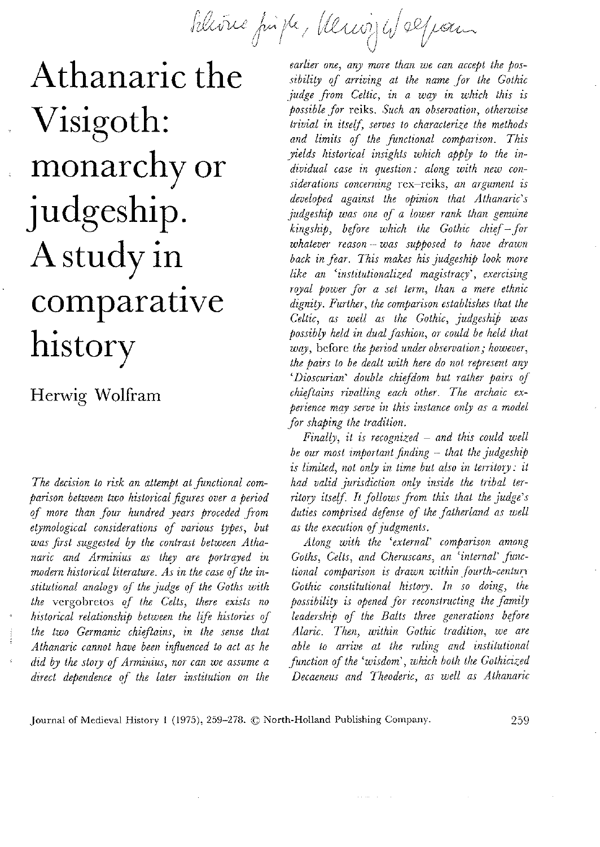blivne firste, Vervijf Welpam

Athanaric the Visigoth: monarchy or judgeship. A study in comparative history

Herwig Wolfram

The decision to risk an attempt at functional comparison between two historical figures over a period of more than four hundred years proceded from etymological considerations of various types, but was first suggested by the contrast between Athanaric and Arminius as they are portrayed in modern historical literature. As in the case of the institutional analogy of the judge of the Goths with the vergobretos of the Celts, there exists no historical relationship between the life histories of the two Germanic chieftains, in the sense that Athanaric cannot have been influenced to act as he did by the story of Arminius, nor can we assume a direct dependence of the later institution on the

earlier one, any more than we can accept the possibility of arriving at the name for the Gothic judge from Celtic, in a way in which this is possible for reiks. Such an observation, otherwise trivial in itself, serves to characterize the methods and limits of the functional comparison. This yields historical insights which apply to the individual case in question: along with new considerations concerning rex-reiks, an argument is developed against the opinion that Athanaric's judgeship was one of a lower rank than genuine  $kingship$ , before which the Gothic chief – for whatever reason - was supposed to have drawn back in fear. This makes his judgeship look more like an 'institutionalized magistracy', exercising royal power for a set term, than a mere ethnic dignity. Further, the comparison establishes that the Celtic, as well as the Gothic, judgeship was possibly held in dual fashion, or could be held that way, before the period under observation; however, the pairs to be dealt with here do not represent any 'Dioscurian' double chiefdom but rather pairs of chieftains rivalling each other. The archaic experience may serve in this instance only as a model for shaping the tradition.

Finally, it is recognized  $-$  and this could well be our most important finding - that the judgeship is limited, not only in time but also in territory: it had valid jurisdiction only inside the tribal territory itself. It follows from this that the judge's duties comprised defense of the fatherland as well as the execution of judgments.

Along with the 'external' comparison among Goths, Celts, and Cheruscans, an 'internal' functional comparison is drawn within fourth-century Gothic constitutional history. In so doing, the possibility is opened for reconstructing the family leadership of the Balts three generations before Alaric. Then, within Gothic tradition, we are able to arrive at the ruling and institutional function of the 'wisdom', which both the Gothicized Decaeneus and Theoderic, as well as Athanaric

Journal of Medieval History 1 (1975), 259-278. © North-Holland Publishing Company.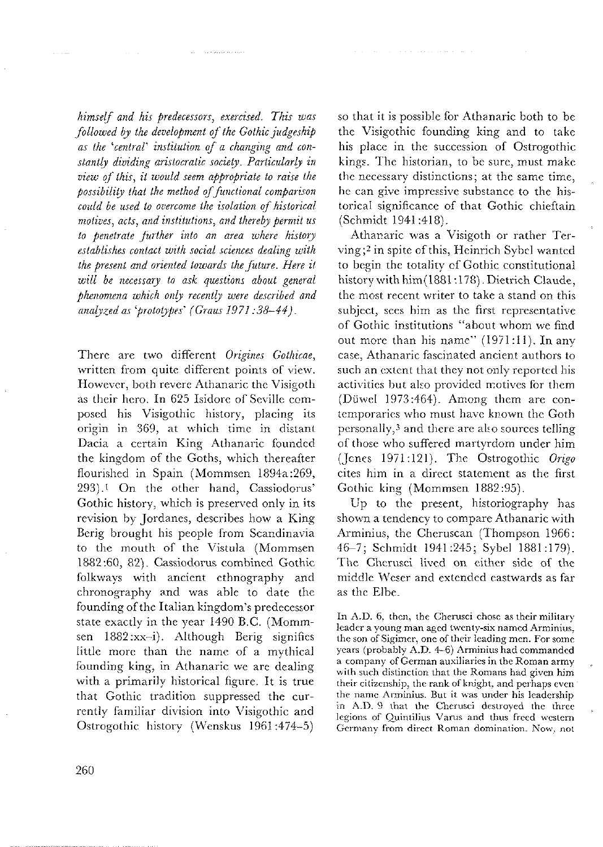himself and his predecessors, exercised. This was followed by the development of the Gothic judgeship as the 'central' institution of a changing and constantly dividing aristocratic society. Particularly in view of this, it would seem appropriate to raise the possibility that the method of functional comparison could be used to overcome the isolation of historical motives, acts, and institutions, and thereby permit us to penetrate further into an area where history establishes contact with social sciences dealing with the present and oriented towards the future. Here it will be necessary to ask questions about general phenomena which only recently were described and analyzed as 'prototypes' (Graus 1971:38-44).

There are two different Origines Gothicae, written from quite different points of view. However, both revere Athanaric the Visigoth as their hero. In 625 Isidore of Seville composed his Visigothic history, placing its origin in 369, at which time in distant Dacia a certain King Athanaric founded the kingdom of the Goths, which thereafter flourished in Spain (Mommsen 1894a:269, 293).<sup>1</sup> On the other hand, Cassiodorus' Gothic history, which is preserved only in its revision by Jordanes, describes how a King Berig brought his people from Scandinavia to the mouth of the Vistula (Mommsen 1882:60, 82). Cassiodorus combined Gothic folkways with ancient ethnography and chronography and was able to date the founding of the Italian kingdom's predecessor state exactly in the year 1490 B.C. (Mommsen 1882:xx-i). Although Berig signifies little more than the name of a mythical founding king, in Athanaric we are dealing with a primarily historical figure. It is true that Gothic tradition suppressed the currently familiar division into Visigothic and Ostrogothic history (Wenskus 1961:474-5)

so that it is possible for Athanaric both to be the Visigothic founding king and to take his place in the succession of Ostrogothic kings. The historian, to be sure, must make the necessary distinctions; at the same time, he can give impressive substance to the historical significance of that Gothic chieftain (Schmidt 1941:418).

Athanaric was a Visigoth or rather Terving;<sup>2</sup> in spite of this, Heinrich Sybel wanted to begin the totality of Gothic constitutional history with him (1881:178). Dietrich Claude, the most recent writer to take a stand on this subject, sees him as the first representative of Gothic institutions "about whom we find out more than his name" (1971:11). In any case, Athanaric fascinated ancient authors to such an extent that they not only reported his activities but also provided motives for them (Düwel 1973:464). Among them are contemporaries who must have known the Goth personally,<sup>3</sup> and there are also sources telling of those who suffered martyrdom under him (Jones 1971:121). The Ostrogothic Origo cites him in a direct statement as the first Gothic king (Mommsen 1882:95).

Up to the present, historiography has shown a tendency to compare Athanaric with Arminius, the Cheruscan (Thompson 1966: 46-7; Schmidt 1941:245; Sybel 1881:179). The Cherusci lived on either side of the middle Weser and extended eastwards as far as the Elbe.

In A.D. 6, then, the Cherusci chose as their military leader a young man aged twenty-six named Arminius. the son of Sigimer, one of their leading men. For some years (probably A.D. 4-6) Arminius had commanded a company of German auxiliaries in the Roman army with such distinction that the Romans had given him their citizenship, the rank of knight, and perhaps even the name Arminius. But it was under his leadership in A.D. 9 that the Cherusci destroyed the three legions of Quintilius Varus and thus freed western Germany from direct Roman domination. Now, not

للمالي البرازي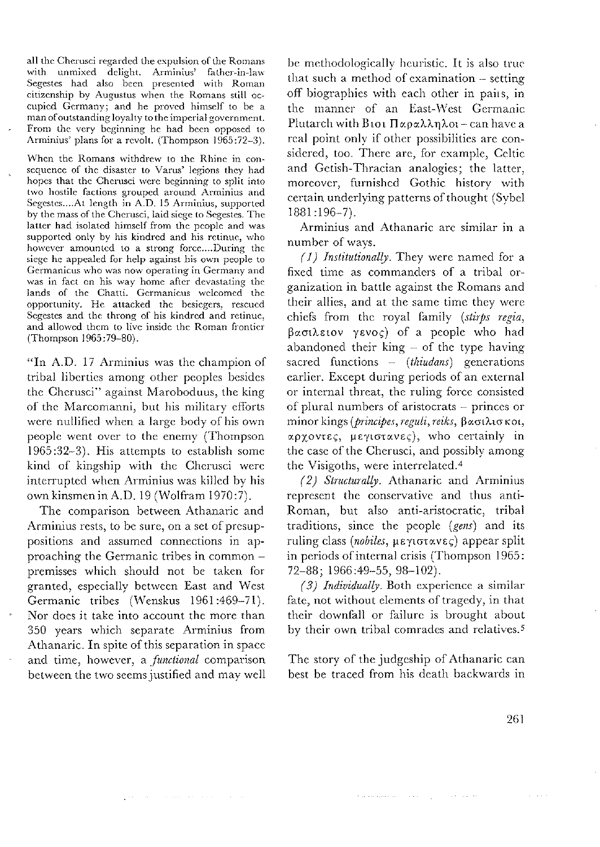all the Cherusci regarded the expulsion of the Romans with unmixed delight, Arminius' father-in-law Segestes had also been presented with Roman citizenship by Augustus when the Romans still occupied Germany; and he proved himself to be a man of outstanding loyalty to the imperial government. From the very beginning he had been opposed to Arminius' plans for a revolt. (Thompson 1965:72-3).

When the Romans withdrew to the Rhine in consequence of the disaster to Varus' legions they had hopes that the Cherusci were beginning to split into two hostile factions grouped around Arminius and Segestes....At length in A.D. 15 Arminius, supported by the mass of the Cherusci, laid siege to Segestes. The latter had isolated himself from the people and was supported only by his kindred and his retinue, who however amounted to a strong force....During the siege he appealed for help against his own people to Germanicus who was now operating in Germany and was in fact on his way home after devastating the lands of the Chatti. Germanicus welcomed the opportunity. He attacked the besiegers, rescued Segestes and the throng of his kindred and retinue, and allowed them to live inside the Roman frontier (Thompson 1965:79-80).

"In A.D. 17 Arminius was the champion of tribal liberties among other peoples besides the Cherusci" against Maroboduus, the king of the Marcomanni, but his military efforts were nullified when a large body of his own people went over to the enemy (Thompson 1965:32-3). His attempts to establish some kind of kingship with the Cherusci were interrupted when Arminius was killed by his own kinsmen in A.D. 19 (Wolfram 1970:7).

The comparison between Athanaric and Arminius rests, to be sure, on a set of presuppositions and assumed connections in approaching the Germanic tribes in common premisses which should not be taken for granted, especially between East and West Germanic tribes (Wenskus 1961:469-71). Nor does it take into account the more than 350 years which separate Arminius from Athanaric. In spite of this separation in space and time, however, a *functional* comparison between the two seems justified and may well

المحاملات والمتحدث والمحاملات المحاملين

be methodologically heuristic. It is also true that such a method of examination - setting off biographies with each other in pairs, in the manner of an East-West Germanic Plutarch with B101 Παραλληλοι-can have a real point only if other possibilities are considered, too. There are, for example, Celtic and Getish-Thracian analogies; the latter, moreover, furnished Gothic history with certain underlying patterns of thought (Sybel  $1881:196-7$ .

Arminius and Athanaric are similar in a number of ways.

 $(1)$  Institutionally. They were named for a fixed time as commanders of a tribal organization in battle against the Romans and their allies, and at the same time they were chiefs from the royal family (stirps regia,  $\beta$ ασιλειον γενος) of a people who had abandoned their king  $-$  of the type having sacred functions  $-$  (thiudans) generations earlier. Except during periods of an external or internal threat, the ruling force consisted of plural numbers of aristocrats - princes or minor kings (principes, reguli, reiks, βασιλισκοι, αρχοντες, μεγιστανες), who certainly in the case of the Cherusci, and possibly among the Visigoths, were interrelated.<sup>4</sup>

(2) Structurally. Athanaric and Arminius represent the conservative and thus anti-Roman, but also anti-aristocratic, tribal traditions, since the people (gens) and its ruling class (nobiles, μεγιστανες) appear split in periods of internal crisis (Thompson 1965: 72-88; 1966:49-55, 98-102).

(3) Individually. Both experience a similar fate, not without elements of tragedy, in that their downfall or failure is brought about by their own tribal comrades and relatives.<sup>5</sup>

The story of the judgeship of Athanaric can best be traced from his death backwards in

where a similar is a state  $\mathcal{O}(1)$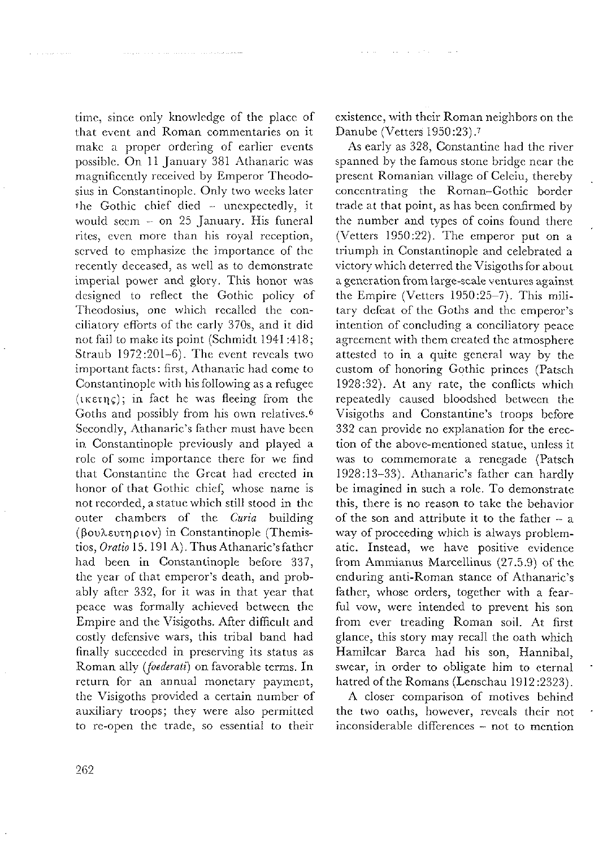time, since only knowledge of the place of that event and Roman commentaries on it make a proper ordering of earlier events possible. On 11 January 381 Athanaric was magnificently received by Emperor Theodosius in Constantinople. Only two weeks later the Gothic chief died - unexpectedly, it would seem  $-$  on 25 January. His funeral rites, even more than his royal reception, scrved to emphasize the importance of the recently deceased, as well as to demonstrate imperial power and glory. This honor was designed to reflect the Gothic policy of Theodosius, one which recalled the conciliatory efforts of the early 370s, and it did not fail to make its point (Schmidt 1941:418; Straub 1972:201-6). The event reveals two important facts: first, Athanaric had come to Constantinople with his following as a refugee  $(\iota \kappa \varepsilon \tau \eta \varsigma)$ ; in fact he was fleeing from the Goths and possibly from his own relatives.<sup>6</sup> Secondly, Athanaric's father must have been in Constantinople previously and played a role of some importance there for we find that Constantine the Great had erected in honor of that Gothic chief, whose name is not recorded, a statue which still stood in the outer chambers of the Curia building (βουλευτηριον) in Constantinople (Themistios, Oratio 15. 191 A). Thus Athanaric's father had been in Constantinople before 337, the year of that emperor's death, and probably after 332, for it was in that year that peace was formally achieved between the Empire and the Visigoths. After difficult and costly defensive wars, this tribal band had finally succeeded in preserving its status as Roman ally (foederati) on favorable terms. In return for an annual monetary payment, the Visigoths provided a certain number of auxiliary troops; they were also permitted to re-open the trade, so essential to their

existence, with their Roman neighbors on the Danube (Vetters 1950:23).7

As early as 328, Constantine had the river spanned by the famous stone bridge near the present Romanian village of Celeiu, thereby concentrating the Roman-Gothic border trade at that point, as has been confirmed by the number and types of coins found there (Vetters 1950:22). The emperor put on a triumph in Constantinople and celebrated a victory which deterred the Visigoths for about a generation from large-scale ventures against the Empire (Vetters 1950:25-7). This military defeat of the Goths and the emperor's intention of concluding a conciliatory peace agreement with them created the atmosphere attested to in a quite general way by the custom of honoring Gothic princes (Patsch 1928:32). At any rate, the conflicts which repeatedly caused bloodshed between the Visigoths and Constantine's troops before 332 can provide no explanation for the erection of the above-mentioned statue, unless it was to commemorate a renegade (Patsch 1928:13-33). Athanaric's father can hardly be imagined in such a role. To demonstrate this, there is no reason to take the behavior of the son and attribute it to the father - a way of proceeding which is always problematic. Instead, we have positive evidence from Ammianus Marcellinus (27.5.9) of the enduring anti-Roman stance of Athanaric's father, whose orders, together with a fearful vow, were intended to prevent his son from ever treading Roman soil. At first glance, this story may recall the oath which Hamilcar Barca had his son, Hannibal, swear, in order to obligate him to eternal hatred of the Romans (Lenschau 1912:2323).

A closer comparison of motives behind the two oaths, however, reveals their not inconsiderable differences - not to mention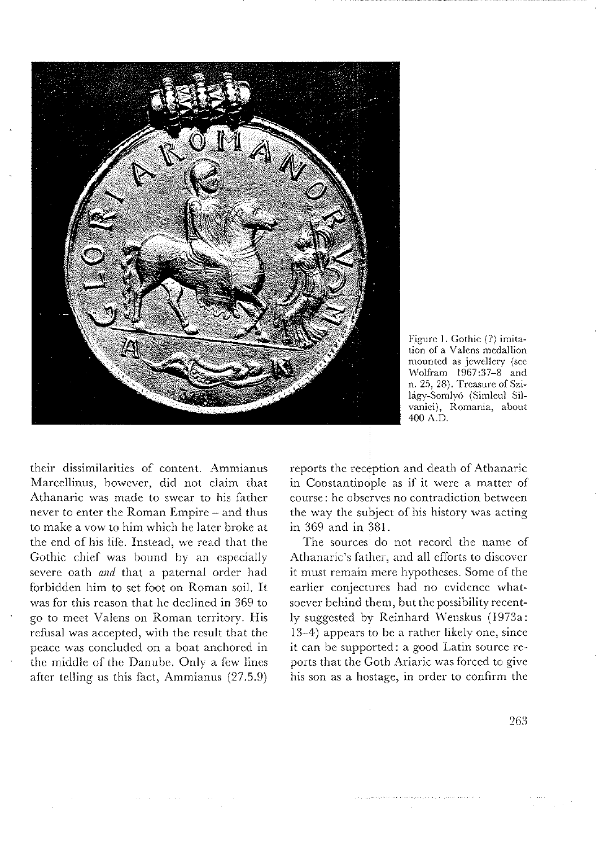

Figure 1. Gothic (?) imitation of a Valens medallion mounted as jewellery (see Wolfram 1967:37-8 and n. 25, 28). Treasure of Szilágy-Somlyó (Simleul Silvaniei), Romania, about 400 A.D.

their dissimilarities of content. Ammianus Marcellinus, however, did not claim that Athanaric was made to swear to his father never to enter the Roman Empire - and thus to make a vow to him which he later broke at the end of his life. Instead, we read that the Gothic chief was bound by an especially severe oath and that a paternal order had forbidden him to set foot on Roman soil. It was for this reason that he declined in 369 to go to meet Valens on Roman territory. His refusal was accepted, with the result that the peace was concluded on a boat anchored in the middle of the Danube. Only a few lines after telling us this fact, Ammianus (27.5.9)

reports the reception and death of Athanaric in Constantinople as if it were a matter of course: he observes no contradiction between the way the subject of his history was acting in 369 and in 381.

The sources do not record the name of Athanaric's father, and all efforts to discover it must remain mere hypotheses. Some of the earlier conjectures had no evidence whatsoever behind them, but the possibility recently suggested by Reinhard Wenskus (1973a: 13–4) appears to be a rather likely one, since it can be supported: a good Latin source reports that the Goth Ariaric was forced to give his son as a hostage, in order to confirm the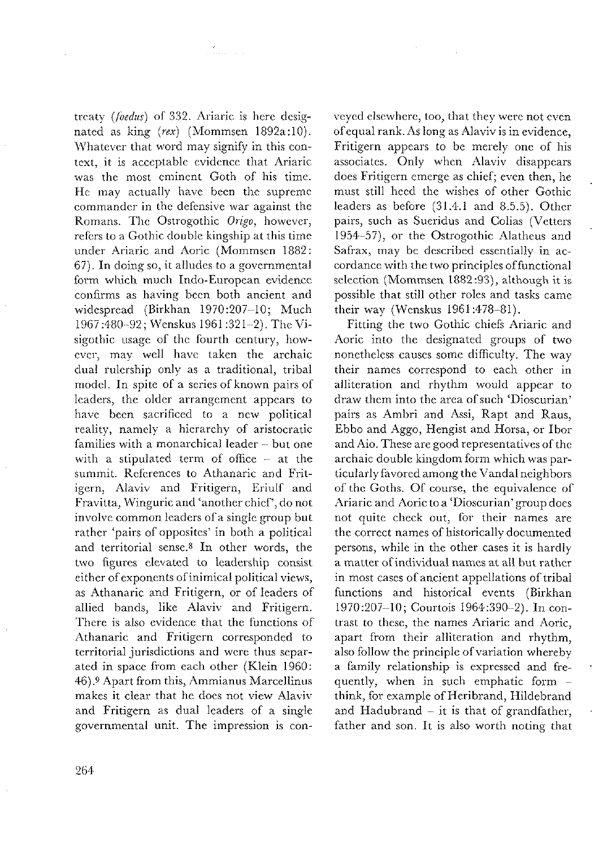treaty (foedus) of 332. Ariaric is here designated as king (rex) (Mommsen 1892a:10). Whatever that word may signify in this context, it is acceptable evidence that Ariaric was the most eminent Goth of his time. He may actually have been the supreme commander in the defensive war against the Romans. The Ostrogothic Origo, however, refers to a Gothic double kingship at this time under Ariaric and Aoric (Mommsen 1882: 67). In doing so, it alludes to a governmental form which much Indo-European evidence confirms as having been both ancient and widespread (Birkhan 1970:207-10; Much 1967:480-92; Wenskus 1961:321-2). The Visigothic usage of the fourth century, however, may well have taken the archaic dual rulership only as a traditional, tribal model. In spite of a series of known pairs of leaders, the older arrangement appears to have been sacrificed to a new political reality, namely a hierarchy of aristocratic families with a monarchical leader - but one with a stipulated term of office  $-$  at the summit. References to Athanaric and Fritigern, Alaviv and Fritigern, Eriulf and Fravitta, Winguric and 'another chief', do not involve common leaders of a single group but rather 'pairs of opposites' in both a political and territorial sense.8 In other words, the two figures elevated to leadership consist either of exponents of inimical political views, as Athanaric and Fritigern, or of leaders of allied bands, like Alaviv and Fritigern. There is also evidence that the functions of Athanaric and Fritigern corresponded to territorial jurisdictions and were thus separated in space from each other (Klein 1960: 46).9 Apart from this, Ammianus Marcellinus makes it clear that he does not view Alaviv and Fritigern as dual leaders of a single governmental unit. The impression is con-

a Karangana

veyed elsewhere, too, that they were not even of equal rank. As long as Alaviv is in evidence, Fritigern appears to be merely one of his associates. Only when Alaviv disappears does Fritigern emerge as chief; even then, he must still heed the wishes of other Gothic leaders as before (31.4.1 and 8.5.5). Other pairs, such as Sueridus and Colias (Vetters 1954-57), or the Ostrogothic Alatheus and Safrax, may be described essentially in accordance with the two principles of functional selection (Mommsen 1882:93), although it is possible that still other roles and tasks came their way (Wenskus 1961:478-81).

Fitting the two Gothic chiefs Ariaric and Aoric into the designated groups of two nonetheless causes some difficulty. The way their names correspond to each other in alliteration and rhythm would appear to draw them into the area of such 'Dioscurian' pairs as Ambri and Assi, Rapt and Raus, Ebbo and Aggo, Hengist and Horsa, or Ibor and Aio. These are good representatives of the archaic double kingdom form which was particularly favored among the Vandal neighbors of the Goths. Of course, the equivalence of Ariaric and Aoric to a 'Dioscurian' group does not quite check out, for their names are the correct names of historically documented persons, while in the other cases it is hardly a matter of individual names at all but rather in most cases of ancient appellations of tribal functions and historical events (Birkhan 1970:207-10; Courtois 1964:390-2). In contrast to these, the names Ariaric and Aoric, apart from their alliteration and rhythm, also follow the principle of variation whereby a family relationship is expressed and frequently, when in such emphatic form think, for example of Heribrand, Hildebrand and Hadubrand  $-$  it is that of grandfather, father and son. It is also worth noting that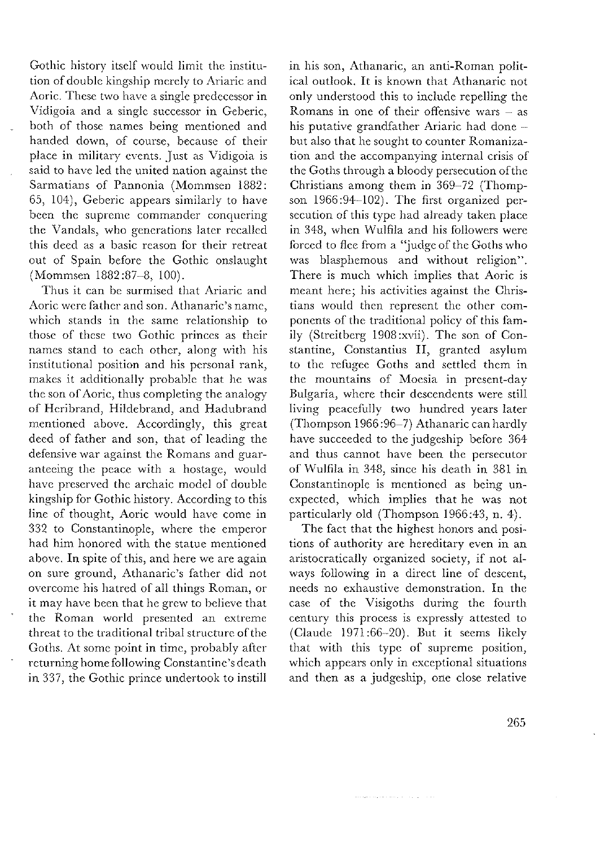Gothic history itself would limit the institution of double kingship merely to Ariaric and Aoric. These two have a single predecessor in<br>Vidigoia and a single successor in Geberic, both of those names being mentioned and handed down, of course, because of their place in military events. Just as Vidigoia is said to have led the united nation against the Sarmatians of Pannonia (Mommsen 1882: 65, 104), Geberic appears similarly to have been the supreme commander conquering the Vandals, who generations later recalled this deed as a basic reason for their retreat out of Spain before the Gothic onslaught (Mommsen 1882:87-8, 100).

Thus it can be surmised that Ariaric and Aoric were father and son. Athanaric's name, which stands in the same relationship to those of these two Gothic princes as their names stand to each other, along with his institutional position and his personal rank, makes it additionally probable that he was<br>the son of Aoric, thus completing the analogy of Heribrand, Hildebrand, and Hadubrand mentioned above. Accordingly, this great deed of father and son, that of leading the defensive war against the Romans and guaranteeing the peace with a hostage, would have preserved the archaic model of double kingship for Gothic history. According to this line of thought, Aoric would have come in<br>332 to Constantinople, where the emperor had him honored with the statue mentioned above. In spite of this, and here we are again on sure ground, Athanaric's father did not overcome his hatred of all things Roman, or it may have been that he grew to believe that<br>the Roman world presented an extreme threat to the traditional tribal structure of the Goths. At some point in time, probably after<br>returning home following Constantine's death in 337, the Gothic prince undertook to instill

in his son, Athanaric, an anti-Roman political outlook. It is known that Athanaric not only understood this to include repelling the Romans in one of their offensive wars  $-$  as his putative grandfather Ariaric had done but also that he sought to counter Romaniza-<br>tion and the accompanying internal crisis of the Goths through a bloody persecution of the Christians among them in 369-72 (Thompson 1966:94-102). The first organized persecution of this type had already taken place in 348, when Wulfila and his followers were forced to flee from a "judge of the Goths who was blasphemous and without religion". There is much which implies that Aoric is meant here; his activities against the Christians would then represent the other components of the traditional policy of this family (Streitberg 1908:xvii). The son of Constantine, Constantius II, granted asylum to the refugee Goths and settled them in the mountains of Moesia in present-day Bulgaria, where their descendents were still living peacefully two hundred years later (Thompson 1966:96-7) Athanaric can hardly have succeeded to the judgeship before 364 and thus cannot have been the persecutor of Wulfila in 348, since his death in 381 in Constantinople is mentioned as being unexpected, which implies that he was not particularly old (Thompson 1966:43, n. 4).

The fact that the highest honors and positions of authority are hereditary even in an aristocratically organized society, if not always following in a direct line of descent, needs no exhaustive demonstration. In the case of the Visigoths during the fourth century this process is expressly attested to (Claude 1971:66-20). But it seems likely that with this type of supreme position, which appears only in exceptional situations<br>and then as a judgeship, one close relative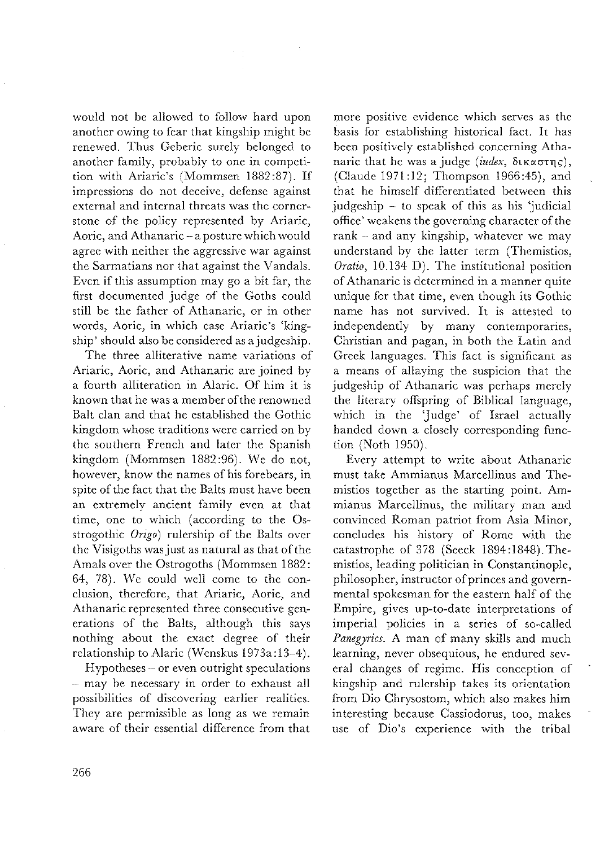would not be allowed to follow hard upon another owing to fear that kingsliip miglit be renewed. Thus Geberic surely belonged to another family, probably to one in competition with Ariaric's (Mommsen 1882:87). If imprcssions do not deceivc, defensc against external and internal threats was the cornerstone of the policy represented by Ariaric, Aoric, and Athanaric-aposturc which would agree with neither the aggressive war against the Sarmatians nor that against the Vandals. Even if this assumption may go a bit far, the first documented judge of the Goths could still be the father of Athanaric, or in other words, Aoric, in which case Ariaric's 'kingship' should also he considered as a judgeship.

The three alliterative name variations of Ariaric, Aoric, and Athanaric are joined by a fourth alliteration in Alaric. Of him it is known that he was a member of the renowned Balt clan and that he established the Gothic kingdom whose traditions were carried on by the southern French and later the Spanish kingdom (Mommsen 1882:96). We do not, however, know the names of his forebears, in spite of the fact that the Balts must have been an extremely ancient family even at that time, one to which (according to the Osstrogothic  $Origo$ ) rulership of the Balts over the Visigoths was just as natural as that of the Amals over the Ostrogoths (Mommsen 1882: 64, 78). We could well comc to thc conclusion, therefore, that Ariaric, Aoric, and Athanaric represented three consecutive generations of thc Balts, although this says nothing about the exact degree of their relationship to Alaric (Wenskus 1973a: 13-4).

Hypotheses - or cven outright speculations - may be necessary in order to exhaust all possibilitics of discovcring carlier realitics. They are permissible as long as we remain aware of their essential difference from that

more positive evidence which serves as the basis for establishing historical fact. It has bcen positivcly estahlishcd concerning Athanaric that he was a judge (index,  $\delta$ ικαστης), (Claude 1971:12; Thompson 1966:45), and that he himself differentiated between this judgeship  $-$  to speak of this as his 'judicial office' weakens the governing character of the  $rank - and any kingship, whatever we may$ understand by the latter term (Themistios, Oratio, 10.134 D). The institutional positicn of Athanaric is determincd in a manner quite unique for that time, even though its Gothic name has not survived. It is attested to independently by many contemporaries, Christian and pagan, in both the Latin and Greek languages. This fact is significant as a means of allaying the suspicion that the judgeship of Athanaric was perhaps merely the literary offspring of Biblical languagc, which in the 'Judge' of Israel actually handed down a closely corresponding function (Xoth 1950).

Every attempt to write about Athanaric must take Ammianus Marcellinus and Themistios together as the starting point. Ammianus Marcellinus, the military man and convinced Roman patriot froni Asia Minor, concludes his history of Rome with the catastrophe of 378 (Secck 1894:1848).Thcmistios, leading politician in Constantinople, philosopher, instructor of princes and governmental spokesman for the eastern half of the Empire, gives up-to-date interpretations of imperial policies in a serics of so-called Panegyrics. A man of many skills and much learning, never obsequious, he endured several changcs of regimc. His conception of kingship and rulcrship takes its oricntation from Dio Chrysostom, which also makes bim intercsting because Cassiodorus, too, makcs use of Dio's experience with the tribal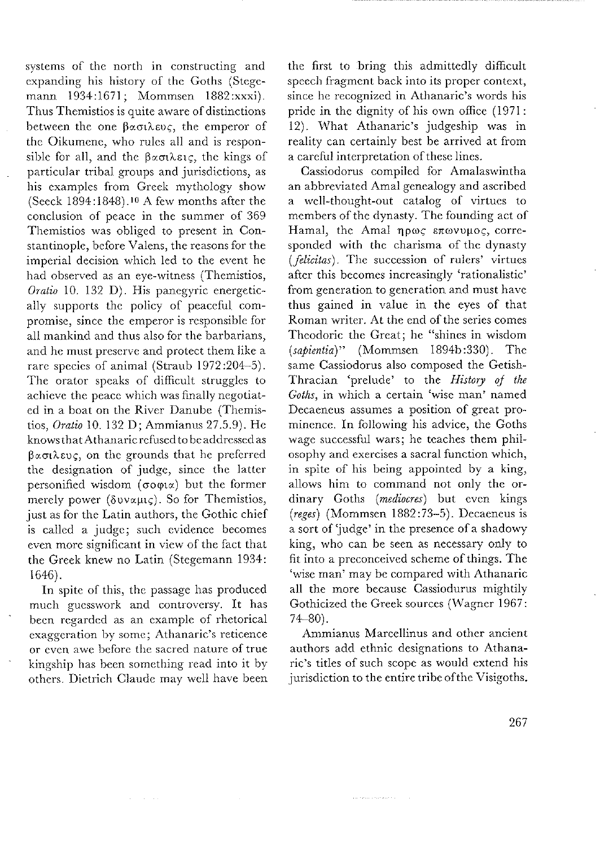systems of the north in constructing and expanding his history of the Goths (Stegemann 1934:1671; Mommsen 1882:xxxi). Thus Themistios is quite aware of distinctions between the one  $\beta \propto \pi$ ihsus, the emperor of the Oikumene, who rules all and is responsible for all, and the  $\beta \alpha \sigma \iota \lambda \varepsilon \iota \varsigma$ , the kings of particular tribal groups and jurisdictions, as liis cxamplcs fiom Grcck mytliology show (Seeck  $1894:1848$ ) <sup>10</sup> A few months after the conclusion of peace in the summer of 369 Themistios was obliged to present in Constantinople, before Valens, the reasons for the imperial decision which led to the event he had ohserved as an eyc-witness (Thcmistios, Oratio 10. 132 D). His panegyric energetically supports the policy of peaceful compromise, since the emperor is responsible for all mankind and thus also for the barbarians, and he must preserve and protect them like a rare species of animal (Straub 1972:204-5). The orator speaks of difficult struggles to achieve the peace which was finally negotiated in a boat on the River Danube (Themistios, Oratio 10. 132 D; Ammianus 27.5.9). Hc knows that Athanaric refused to be addressed as  $\beta$ ασιλευς, on the grounds that he preferred the designation of judge, since the latter personified wisdom  $(\sigma \circ \phi \circ \alpha)$  but the former merely power  $(\delta v \vee \mu\varsigma)$ . So for Themistios, just as for the Latin authors, the Gothic chief is called a judgc; such cvidcncc bccomcs evcn more significant in view of the fact that the Greek knew no Latin (Stegemann 1934: 1646).

In spite of this, the passage has produced much guesswork and controversy. It has been regarded as an example of rhetorical exaggeration by some; Athanaric's reticence<br>or even awe before the sacred nature of true kingship has been something read into it by others. Dietrich Claude may well have been

the first to bring this admittcdly difficult speecli fragment back into its proper context, since he recognized in Athanaric's words his pride in the dignity of his own office (1971: 12). What Athanaric's judgeship was in reality can certainly best be arrived at from a careful interpretation of these lines.

Cassiodorus compiled for Amalaswintha an abbrcviated Amal genealogy and ascribed a well-thought-out catalog of virtues to mcmbers of thc dynasty. The founding act of Hamal, the Amal ηρως επωνυμος, corresponded with the charisma of the dynasty  $($ felicitas). The succession of rulers' virtues after this bccomcs increasingly 'rationalistic' from generation to generation and must havc thus gained in value in the eyes of that Roman writer. At the end of the series comes Theodoric the Great; he "shines in wisdom (sapientia)" (Mommsen 1894b:330). The same Cassiodorus also composed the Getish-Thracian 'prelude' to the History of the Goths, in which a certain 'wise man' named Dccaeneus assumes a position of great prominence. In following his advice, the Goths wage successful wars; he teaches them philosophy and exercises a sacral function which, in spitc of his being appointed by a king, allows him to command not only the ordinary Goths (mediocres) but even kings (reges) (Mommsen 1882:73-5). Decaeneus is a sort of 'judge' in the presence of a shadowy king, who can be seen as necessary only to fit into a preconceived scheme of things. The 'wise man' may be compared with Athanaric all the more because Cassiodurus mightily Gothicizcd the Greek sources (Wagner 1967:  $74 - 80$ ).

Ammianus Marcellinus and other ancient authors add ethnic designations to Athanaric's titlcs of such scopc as would extend his jurisdiction to the entire tribe of the Visigoths.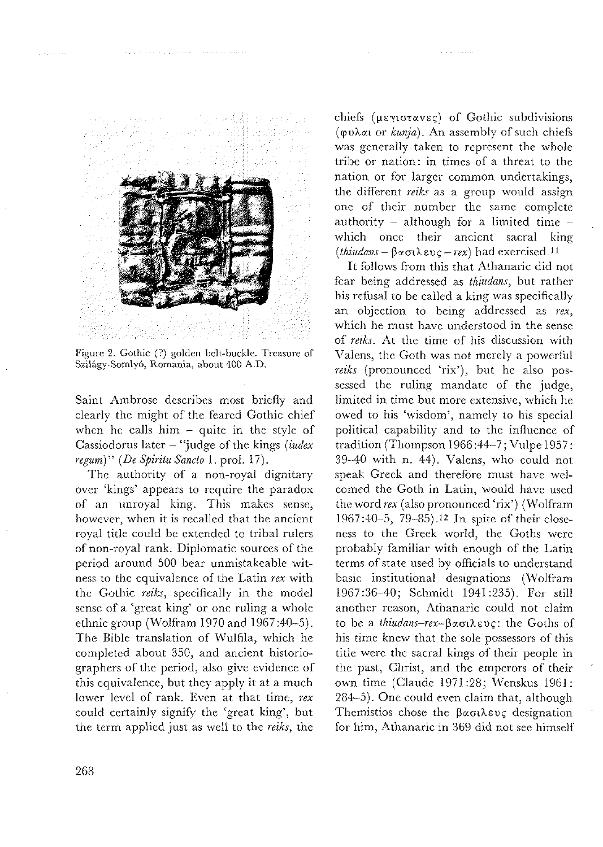

and a strategies and

Figure 2. Gothic (?) golden belt-buckle. Treasure of Szilágy-Somlyó, Romania, about 400 A.D.

Saint Ambrose describes most briefly and clearly the might of the feared Gothic chief when he calls him  $-$  quite in the style of Cassiodorus later – "judge of the kings (iudex regum)" (De Spiritu Sancto 1. prol. 17).

The authority of a non-royal dignitary over 'kings' appears to require the paradox of an unroyal king. This makes sense, however, when it is recalled that the ancient royal title could be extended to tribal rulers of non-royal rank. Diplomatic sources of the period around 500 bear unmistakeable witness to the equivalence of the Latin rex with the Gothic reiks, specifically in the model sense of a 'great king' or one ruling a whole ethnic group (Wolfram 1970 and 1967:40-5). The Bible translation of Wulfila, which he completed about 350, and ancient historiographers of the period, also give evidence of this equivalence, but they apply it at a much lower level of rank. Even at that time, rex could certainly signify the 'great king', but the term applied just as well to the reiks, the

chiefs (μεγιστανες) of Gothic subdivisions (φυλαι or kunja). An assembly of such chiefs was generally taken to represent the whole tribe or nation: in times of a threat to the nation or for larger common undertakings. the different reiks as a group would assign one of their number the same complete authority – although for a limited time – which once their ancient sacral king  $(thiudans - \beta \alpha \sigma \lambda \epsilon \nu \epsilon - \eta \epsilon x)$  had exercised.<sup>11</sup>

It follows from this that Athanaric did not fear being addressed as thiudans, but rather his refusal to be called a king was specifically an objection to being addressed as rex. which he must have understood in the sense of reiks. At the time of his discussion with Valens, the Goth was not merely a powerful reiks (pronounced 'rix'), but he also possessed the ruling mandate of the judge, limited in time but more extensive, which he owed to his 'wisdom', namely to his special political capability and to the influence of tradition (Thompson 1966:44-7; Vulpe 1957: 39-40 with n. 44). Valens, who could not speak Greek and therefore must have welcomed the Goth in Latin, would have used the word rex (also pronounced 'rix') (Wolfram 1967:40-5, 79-85).<sup>12</sup> In spite of their closeness to the Greek world, the Goths were probably familiar with enough of the Latin terms of state used by officials to understand basic institutional designations (Wolfram 1967:36-40; Schmidt 1941:235). For still another reason, Athanaric could not claim to be a *thiudans-rex*-βασιλευς: the Goths of his time knew that the sole possessors of this title were the sacral kings of their people in the past, Christ, and the emperors of their own time (Claude 1971:28; Wenskus 1961: 284-5). One could even claim that, although Themistios chose the βασιλευς designation for him, Athanaric in 369 did not see himself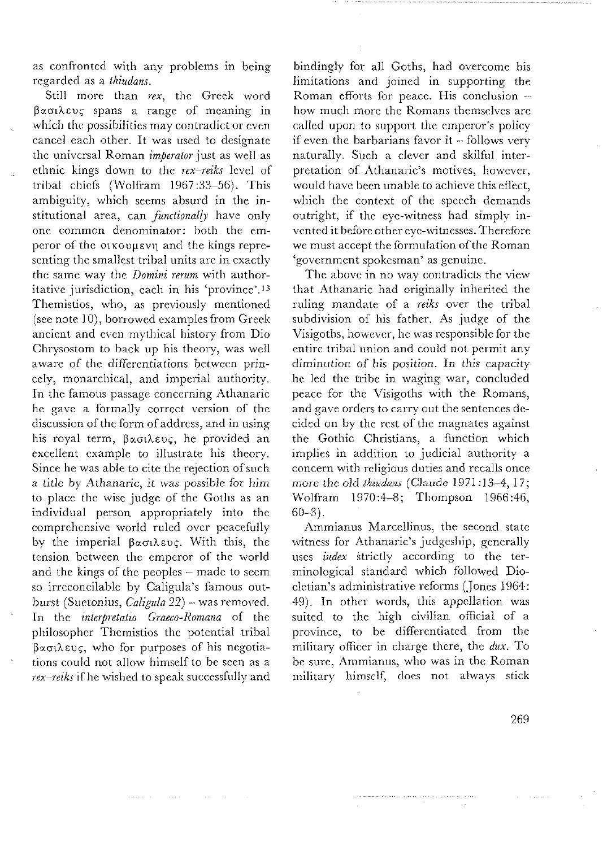as confronted with any problems in being regarded as a thiudans.

Still more than rex, the Greek word  $\beta$  *a*  $\alpha$  *b*  $\alpha$  *spans a* range of meaning in which the possibilities may contradict or even cancel each other. It was used to designate the universal Roman *imperator* just as well as ethnic kings down to the rex-reiks level of tribal chiefs (Wolfram 1967:33-56). This ambiguity, which seems absurd in the institutional area, can *functionally* have only one common denominator: both the emperor of the otkovuevn and the kings representing the smallest tribal units are in exactly the same way the *Domini rerum* with authoritative jurisdiction, each in his 'province'.<sup>13</sup> Themistics, who, as previously mentioned<br>(see note 10), borrowed examples from Greek ancient and even mythical history from Dio Chrysostom to back up his theory, was well aware of the differentiations between princely, monarchical, and imperial authority. In the famous passage concerning Athanaric the gave a formally correct version of the<br>discussion of the form of address, and in using his royal term, βασιλευς, he provided an excellent example to illustrate his theory. Since he was able to cite the rejection of such a title by Athanaric, it was possible for him to place the wise judge of the Goths as an individual person appropriately into the comprehensive world ruled over peacefully by the imperial βασιλευς. With this, the tension between the emperor of the world and the kings of the peoples - made to seem so irreconcilable by Caligula's famous outburst (Suetonius, Caligula 22) - was removed. In the interpretatio Graeco-Romana of the philosopher Themistios the potential tribal Bασιλευς, who for purposes of his negotiations could not allow himself to be seen as a rex-reiks if he wished to speak successfully and

bindingly for all Goths, had overcome his limitations and joined in supporting the Roman efforts for peace. His conclusion -<br>how much more the Romans themselves are called upon to support the emperor's policy if even the barbarians favor it – follows very<br>naturally. Such a clever and skilful interpretation of Athanaric's motives, however, would have been unable to achieve this effect, which the context of the speech demands outright, if the eye-witness had simply invented it before other eye-witnesses. Therefore we must accept the formulation of the Roman 'government spokesman' as genuine.

The above in no way contradicts the view that Athanaric had originally inherited the ruling mandate of a reiks over the tribal subdivision of his father. As judge of the Visigoths, however, he was responsible for the entire tribal union and could not permit any diminution of his position. In this capacity he led the tribe in waging war, concluded peace for the Visigoths with the Romans, and gave orders to carry out the sentences decided on by the rest of the magnates against the Gothic Christians, a function which implies in addition to judicial authority a concern with religious duties and recalls once more the old thindans (Claude 1971:13-4, 17; Wolfram 1970:4-8; Thompson 1966:46,  $60 - 3$ .

Ammianus Marcellinus, the second state witness for Athanaric's judgeship, generally uses *index* strictly according to the terminological standard which followed Diocletian's administrative reforms (Jones 1964: 49). In other words, this appellation was suited to the high civilian official of a province, to be differentiated from the military officer in charge there, the dux. To be sure, Ammianus, who was in the Roman military himself, does not always stick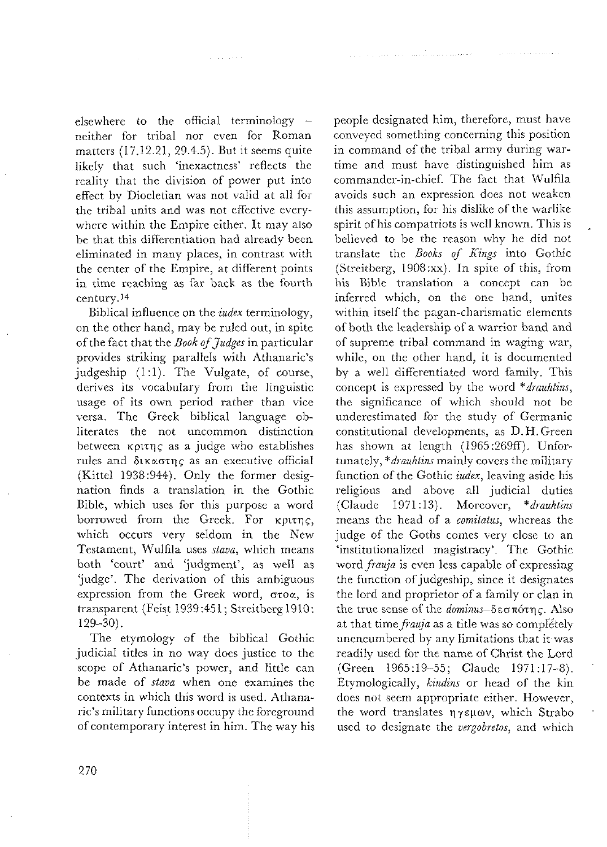elsewhere to the official terminology  $$ neither for tribal nor even for Roman matters (17.12.21, 29.4.5). But it seems quite likely that such 'inexactness' reflects the reality that the division of power put into effect by Diocletian was not valid at all for the tribal units and was not effective everywhere within the Empire either. It may also be that this differentiation had already been eliminated in many places, in contrast with the center of the Empire, at different points in time reaching as far back as the fourth century.<sup>14</sup>

Biblical influence on the *iudex* terminology, on the other hand, may be ruled out, in spite of the fact that the Book of Judges in particular provides striking parallels with Athanaric's judgeship (1:1). The Vulgate, of course, derives its vocabulary from the linguistic usage of its own period rather than vice versa. The Greek biblical language obliterates the not uncommon distinction between *k*ourns as a judge who establishes rules and δικαστης as an executive official (Kittel 1938:944). Only the former designation finds a translation in the Gothic Bible, which uses for this purpose a word borrowed from the Greek. For *kptrng*, which occurs very seldom in the New Testament, Wulfila uses stava, which means both 'court' and 'judgment', as well as 'judge'. The derivation of this ambiguous expression from the Greek word, στοα, is transparent (Feist 1939:451; Streitberg 1910:  $129 - 30$ ).

The etymology of the biblical Gothic judicial titles in no way does justice to the scope of Athanaric's power, and little can be made of *stava* when one examines the contexts in which this word is used. Athanaric's military functions occupy the foreground of contemporary interest in him. The way his

people designated him, therefore, must have conveyed something concerning this position in command of the tribal army during wartime and must have distinguished him as commander-in-chief. The fact that Wulfila avoids such an expression does not weaken this assumption, for his dislike of the warlike spirit of his compatriots is well known. This is believed to be the reason why he did not translate the Books of Kings into Gothic (Streitberg, 1908:xx). In spite of this, from his Bible translation a concept can be inferred which, on the one hand, unites within itself the pagan-charismatic elements of both the leadership of a warrior band and of supreme tribal command in waging war, while, on the other hand, it is documented by a well differentiated word family. This concept is expressed by the word \*drauhtins, the significance of which should not be underestimated for the study of Germanic constitutional developments, as D.H.Green has shown at length (1965:269ff). Unfortunately, \**drauhtins* mainly covers the military function of the Gothic *index*, leaving aside his religious and above all judicial duties (Claude) 1971:13). Moreover, \*drauhtins means the head of a comitatus, whereas the judge of the Goths comes very close to an 'institutionalized magistracy'. The Gothic word *frauja* is even less capable of expressing the function of judgeship, since it designates the lord and proprietor of a family or clan in the true sense of the dominus-δεσπότης. Also at that time *frauja* as a title was so completely unencumbered by any limitations that it was readily used for the name of Christ the Lord (Green 1965:19-55; Claude 1971:17-8). Etymologically, kindins or head of the kin does not seem appropriate either. However, the word translates *ny* sum, which Strabo used to designate the vergobretos, and which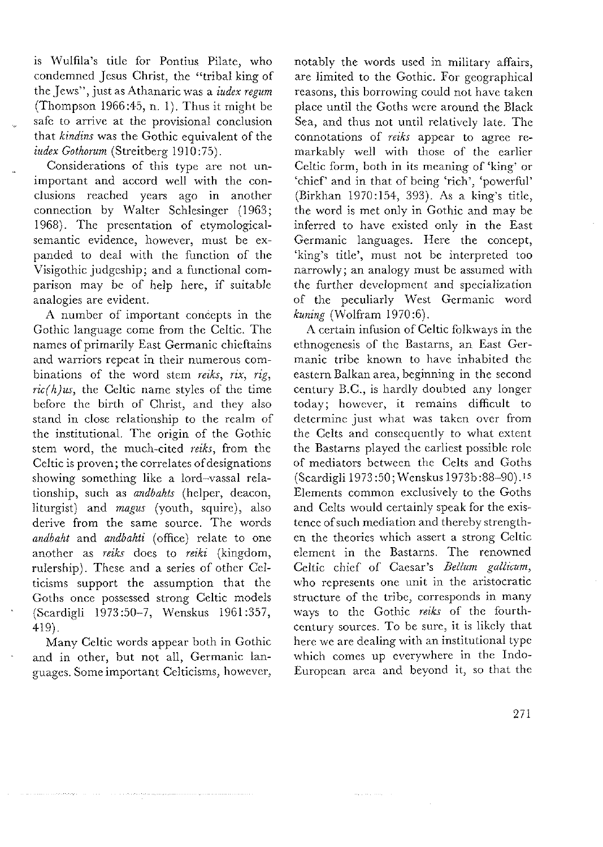is IVulfila's title for Pontius Pilatc, who condemned Jesus Christ, the "tribal king of thc Jews", just as Atlianaric was a *iudex regum*  (Thompson 1966:43, n. 1). Thus it might be safe to arrive at the provisional conclusion that *kindins* was the Gothic equivalent of the *iudex Gothorum* (Streitberg 1910:73).

Considerations of this type are not unimportant and accord well with the conclusions reached years ago in another connection by Walter Schlesinger (1963; 1968). The presentation of etymologicalscmantic evidence, however, must be expanded to deal with the function of the Visigothic judgeship; and a functional comparison may be of help here, if suitable analogies are evident.

A number of important concepts in the Gothic language come from the Celtic. The names of primarily East Germanic chieftains and warriors rcpcat in their numerous combinations of the word stem *reiks, rix, rig,*   $ric(h)us$ , the Celtic name styles of the time before the birth of Christ, and they also stand in close relationship to the realm of the institutional. The origin of the Gothic stcm word, the much-citcd *reiks,* from thc Celtic is proven; the correlates of designations showing something like a lord-vassal relationship, such as *andbahts* (helper, deacon, liturgist) and *magus* (youth, squire), also derive from the same source. The words *andbaht* and *andbahti* (office) relate to one another as *reiks* docs to *reiki* (kingdom, rulership). These and a series of other Celticisms support the assumption that the Goths once possessed strong Celtic models (Scardigli 1973:30-7, Wenskus 1961:337, 419).

Many Celtic words appear both in Gothic and in other, but not all, Germanic languages. Some important Celticisms, however, notably the words uscd in military affairs, are limited to the Gothic. For geographical reasons, this borrowing could not have taken place until the Goths were around the Black Sea, and thus not until rclativcly late. The connotations of *reiks* appear to agrec remarkably well with those of the earlier Celtic form, both in its meaning of 'king' or 'chief' and in that of being 'rich', 'powerful' (Birklian 1970:154, 393). As a king's titlc, the word is met only in Gothic and may be inferrcd to liave existcd only in thc East Germanic languages. Here the concept, 'king's title', must not be interpreted too narrowly; an analogy must bc assumcd with the further development and specialization of the peculiarly West Germanic word *kuning* (Wolfram 1970:6).

**A** certain infusion of Celtic folkways in thc ethnogenesis of the Bastarns, an East Germanic tribe known to have inhabited the eastern Balkan area, beginning in the second century B.C., is hardly doubted any longer today; however, it remains difficult to determine just what was taken over from the Celts and consequently to what extent the Basrarns playcd the carliest possihlc rolc of mediators between the Celts and Goths (Scardigli 1973 50; Wenskus 1973b:88-90) .I5 Elements common esclusively to the Goths and Celts would certainly speak for the existence of such mediation and thereby strengthen the theories which assert a strong Celtic element in the Bastarns. The renowned Celtic chief of Caesar's *Bellum gallicum*, who represents onc unit in the aristocratic structure of the tribc, corresponds in many ways to the Gothic reiks of the fourthccntury sources. To be surc, it is likcly that here we are dealing with an institutional type which comes up everywhere in the Indo-European area and beyond it, so that the

بالمساريب بالبار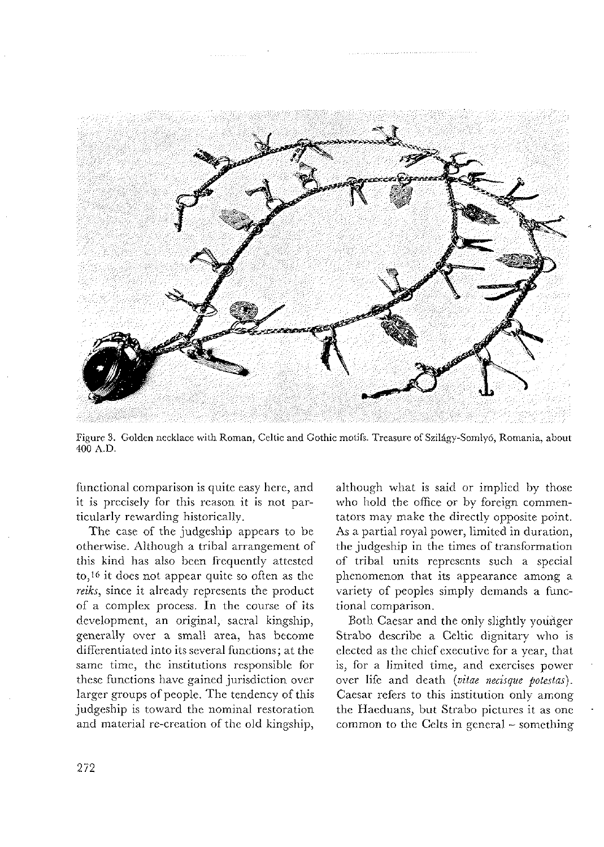

Figure 3. Golden necklace with Roman, Celtic and Gothic motifs. Treasure of Szilágy-Somlyó, Romania, about 400 A.D.

functional comparison is quite easy here, and it is precisely for this reason it is not particularly rewarding historically.

The case of the judgeship appears to be otherwise. Although a tribal arrangement of this kind has also been frequently attested to,i6 it docs not appear quitc so often as the reiks, since it already represents the product of a complex process. In the course of its development, an original, sacral kingship, generally over a small area, has become differcntiated into its sevcral functions; at thc samc timc, thc institutions rcsponsible for these functions have gained jurisdiction over larger groups of people. The tendency of this judgeship is toward the nominal restoration and material re-creation of the old kingship,

although what is said or implied by those who hold the office or by foreign commentators may makc thc directly opposite point. As a partial royal power, limited in duration, the judgeship in the times of transformation of tribal units rcprescnts such a special phcnomcnon that its appcarancc among a varicty of pcoples simply dcmands a functional comparison.

Both Caesar and the only slightly younger Strabo describe a Celtic dignitary who is elected as the chief executive for a year, that is, for a limitcd timc, and cxerciscs powcr ovcr lifc and dcath *(uitae necisque potestai)*  Cacsar refers to this institution only among the Haeduans, but Strabo pictures it as one common to the Celts in general - something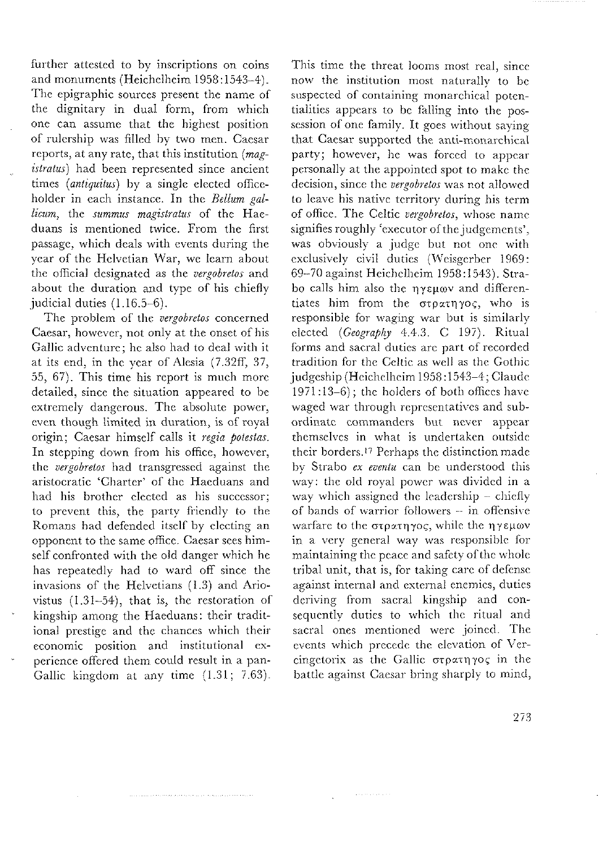further attested to by inscriptions on coins and monuments (Hcichclhcim 1958 : 1543-4). The epigraphic sources present the name of the dignitary in dual form, from which one can assume that the highest position of rulcrship was filled hy two men. Caesar reports, at any rate, that this institution  $(mag$ istratus) had been represented since ancient times (antiquitus) by a single elected officeholder in each instance. In the Bellum gallicum, the summus magistratus of the Haeduans is mentioned twice. From the first passage, which deals with events during the ycar of thc Helvetian War, we lcarn about the official designated as the vergobretos and about the duration and type of his chiefly judicial duties (1.16.5-6).

The problem of the vergobretos concerned Caesar, however, not only at the onset of his Gallic adventure; he also had to deal with it at its end, in thc ycar of Alcsia (7.32ff, 37, 55, 67). This time his report is much more detailed, since the situation appeared to be extremely dangerous. The absolute power, even though limited in duration, is of royal origin; Cacsar himsclf calls it regia potestas. In stepping down from his office, however, the vergobretos had transgressed against the aristocratic 'Charter' of the Haeduans and had his brother elected as his successor; to prevent this, the party friendly to the Romans had defended itself by electing an opponcnt to thc samc officc. Caesar sces himself confronted with the old danger which he has repeatedly had to ward off since the invasions of the Helvetians  $(1.3)$  and Ariovistus (1.31-54), that is, thc restoration of kingship among the Haeduans: their traditional prestige and the chances which their cconomic position and institutional cxperience offered them could result in a pan-Gallic kingdom at any time  $(1.31; 7.63)$ .

This time the threat looms most real, since now the institution mosi naturally to hc suspected of containing monarchical potentialities appears to be falling into the possession of one family. It goes without saying that Caesar supported the anti-monarchical party; however, he was forced to appear personally at the appointed spot to make the decision, since the vergobretos was not allowed to leave his native territory during his term of office. The Celtic vergobretos, whose name signifies roughly 'executor of the judgements', was obviously a judge but not one with exclusively civil duties (Weisgerber 1969: 69-70 against Heichelheim 1958:1543). Strabo calls him also the nyeuov and differentiates him from the  $\sigma$ τρατηγος, who is responsible for waging war but is similarly elected (Geography 4.4.3. C 197). Ritual forms and sacral duties are part of recorded tradition for the Celtic as well as the Gothic judgeship (Heichelheim 1958:1543-4; Claude  $1971:13-6$ ; the holders of both offices have waged war through representatives and subordinate commanders but never appear themselvcs in what is undcrtakcn outside their borders.<sup>17</sup> Perhaps the distinction made by Strabo ex eventu can be understood this way: the old royal power was divided in a way which assigned the leadership - chiefly of bands of warrior followers - in offensive warfare to the στρατηγος, while the ηγεμων in a very general way was responsible for maintaining the peace and safety of the whole tribal unit, that is, for taking care of defense against internal and external enemies, duties deriving from sacral kingship and consequently duties to which the ritual and sacral ones mentioned were joined. The events which precede the elevation of Vercingetorix as the Gallic  $\sigma \tau \rho \alpha \tau \eta \gamma o \varsigma$  in the battle against Caesar bring sharply to mind,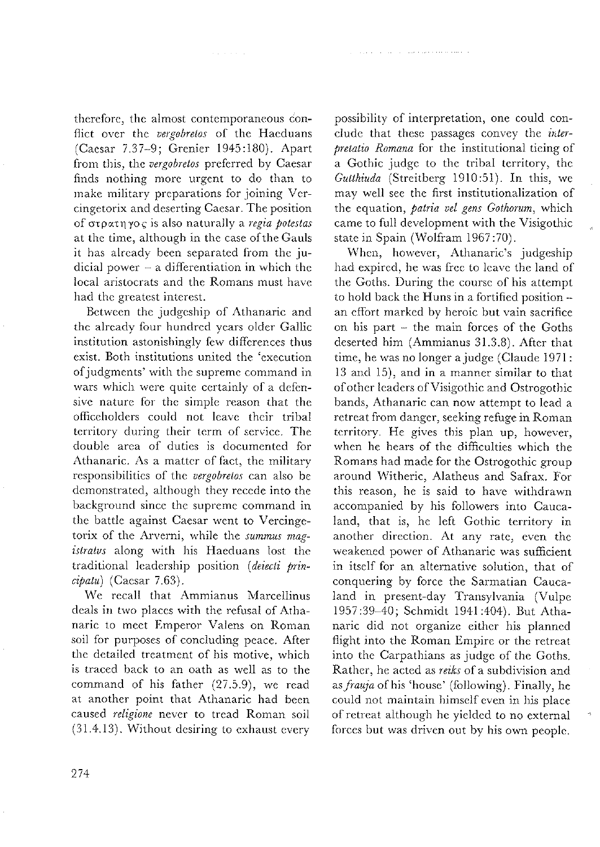therefore, the almost contemporaneous conflict over the vergobretos of the Haeduans (Caesar 7.37-9; Grenier 1945:180). Apart from this, the vergobretos preferred by Caesar finds nothing more urgent to do than to make military preparations for joining Vercingetorix and deserting Caesar. The position of στρατηγος is also naturally a regia potestas at the time, although in the case of the Gauls it has already been separated from the judicial power - a differentiation in which the local aristocrats and the Romans must have had the greatest interest.

Between the judgeship of Athanaric and the already four hundred years older Gallic institution astonishingly few differences thus exist. Both institutions united the 'execution of judgments' with the supreme command in wars which were quite certainly of a defensive nature for the simple reason that the officeholders could not leave their tribal territory during their term of service. The double area of duties is documented for Athanaric. As a matter of fact, the military responsibilities of the vergobretos can also be demonstrated, although they recede into the background since the supreme command in the battle against Caesar went to Vercingetorix of the Arverni, while the summus magistratus along with his Haeduans lost the traditional leadership position (deiecti prin $ciptau$  (Caesar 7.63).

We recall that Ammianus Marcellinus deals in two places with the refusal of Athanaric to meet Emperor Valens on Roman soil for purposes of concluding peace. After the detailed treatment of his motive, which is traced back to an oath as well as to the command of his father (27.5.9), we read at another point that Athanaric had been caused religione never to tread Roman soil (31.4.13). Without desiring to exhaust every

possibility of interpretation, one could conclude that these passages convey the interpretatio Romana for the institutional tieing of a Gothic judge to the tribal territory, the Gutthiuda (Streitberg 1910:51). In this, we may well see the first institutionalization of the equation, patria vel gens Gothorum, which came to full development with the Visigothic state in Spain (Wolfram 1967:70).

When, however, Athanaric's judgeship had expired, he was free to leave the land of the Goths. During the course of his attempt to hold back the Huns in a fortified position an effort marked by heroic but vain sacrifice on his part - the main forces of the Goths deserted him (Ammianus 31.3.8). After that time, he was no longer a judge (Claude 1971: 13 and 15), and in a manner similar to that of other leaders of Visigothic and Ostrogothic bands, Athanaric can now attempt to lead a retreat from danger, seeking refuge in Roman territory. He gives this plan up, however, when he hears of the difficulties which the Romans had made for the Ostrogothic group around Witheric, Alatheus and Safrax. For this reason, he is said to have withdrawn accompanied by his followers into Caucaland, that is, he left Gothic territory in another direction. At any rate, even the weakened power of Athanaric was sufficient in itself for an alternative solution, that of conquering by force the Sarmatian Caucaland in present-day Transylvania (Vulpe 1957:39-40; Schmidt 1941:404). But Athanaric did not organize either his planned flight into the Roman Empire or the retreat into the Carpathians as judge of the Goths. Rather, he acted as reiks of a subdivision and as frauja of his 'house' (following). Finally, he could not maintain himself even in his place of retreat although he yielded to no external forces but was driven out by his own people.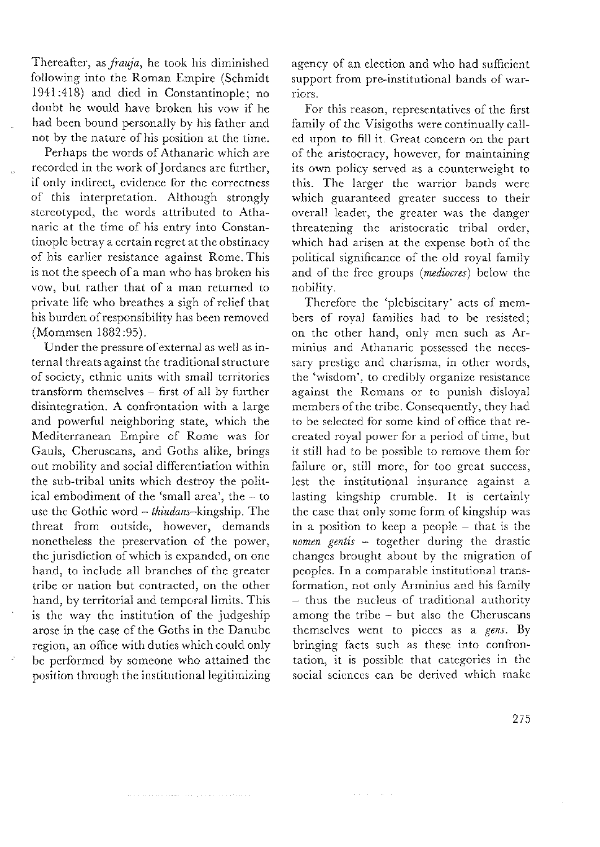Thereafter, as frauja, he took his diminished following into the Roman Empire (Schmidt 1941:418) and died in Constantinoplc; no doubt he would have broken his vow if he had been bound personally by his father and not by the nature of his position at thc timc.

Perhaps the words of Athanaric which are recorded in the work of Jordanes are further, if only indirect, evidence for the correctness of this interpretation. Although strongly stereotyped, the words attributed to Athanaric at the time of his entry into Constantinople betray a certain regret at the obstinacy of his earlier resistance against Rome. This is not the speech of a man who has broken his vow, but rather that of a man returned to private life who breathes a sigh of relief that his burdcn of responsibility has bccn removcd (Mommsen 1882 :95).

Under the pressure of external as well as internal threats against the traditional structure of society, ethnic units with small territories transform themselves – first of all by further disintegration. A confrontation with a large and powerful neighboring state, which the Mediterranean Empire of Romc was for Gauls, Cheruscans, and Goths alike, brings out mobility and social differentiation within the sub-trihal units which dcstroy the political embodiment of the 'small area', the -- to use the Gothic word  $-$  thiudans-kingship. The threat from outside, however, demands nonetheless the preservation of the power, the jurisdiction of which is expanded, on one hand, to include all branches of the greater tribe or nation but contracted, on the other hand, by territorial and temporal limits. This is the way the institution of the judgeship arose in the case of the Goths in the Danube region, an office with duties which could only bc performed by sorneonc who attained thc position through the institutional legitimizing

and a constant important to have an analyzed.

agency of an clection and who had sufficicnt support from pre-institutional bands of warriors.

For this reason, representatives of the first family of the Visigoths were continually called upon to fill it. Great concern on the part of the aristocracy, however, for maintaining its own policy served as a countcrweight to this. The larger the warrior bands were which guaranteed greater success to their overall leader, the greater was the danger threatening the aristocratic tribal order, which had arisen at the expense both of the political significance of the old royal family and of the free groups (mediocres) below the nobility.

Therefore the 'plebiscitary' acts of members of royal families had to be resisted; on the other hand, only men such as Arminius and Athanaric possessed the necessary prestige and charisma, in other words, the 'wisdom'. to crcdibly organize rcsistancc against the Romans or to punish disloyal members of the tribe. Consequently, they had to be sclected for somc kind of officc that rccreated royal power for a pcriod of timc, but it still had to be possible to remove them for failure or, still more, for too great success, lest the institutional insurance against a lasting kingship crumble. It is certainly the case that only some form of kingship was in a position to keep a people – that is the  $nomen$  gentis - together during the drastic changes brought about by the migration of pcoples. In a comparablc institutional transformation, not only Arminius and his family  $-$  thus the nucleus of traditional authority among the tribe  $-$  but also the Cheruscans themselves went to pieces as a gens. By bringing facts such as these into confrontation, it is possible that categories in the social sciences can be derived which make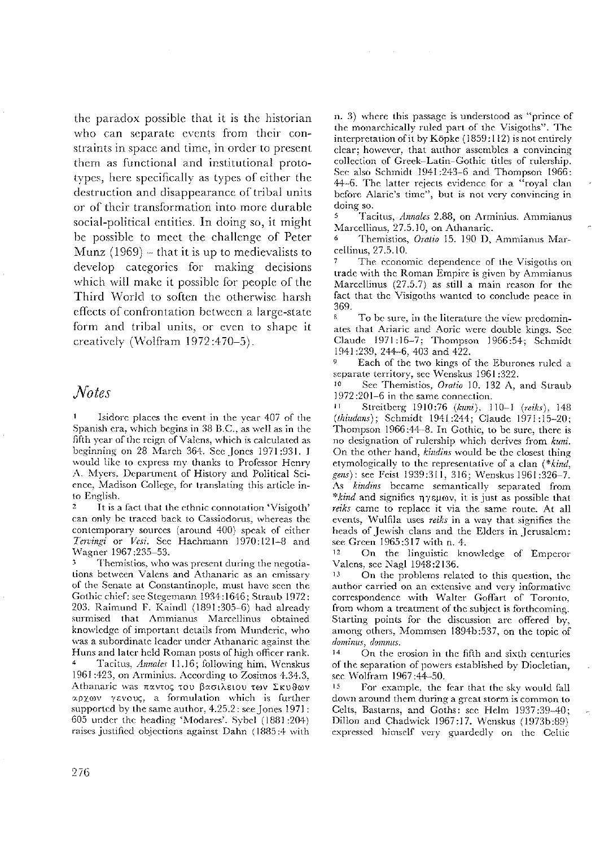the paradox possible that it is the historian who can separate events from their constraints in space and time, in order to present them as functional and institutional prototypes, here specifically as types of either the destruction and disappearance of tribal units or of their transformation into more durable social-political entities. In doing so, it might be possible to meet the challenge of Peter Munz  $(1969)$  – that it is up to medievalists to develop categories for making decisions which will make it possible for people of the Third World to soften the otherwise harsh effects of confrontation between a large-state form and tribal units, or even to shape it creatively (Wolfram 1972:470-5).

## **Notes**

Isidore places the event in the year 407 of the Spanish era, which begins in 38 B.C., as well as in the fifth year of the reign of Valens, which is calculated as beginning on 28 March 364. See Jones 1971:931. I would like to express my thanks to Professor Henry A. Myers, Department of History and Political Science, Madison College, for translating this article into English.

 $\overline{2}$ It is a fact that the ethnic connotation 'Visigoth' can only be traced back to Cassiodorus, whereas the contemporary sources (around 400) speak of either Tervingi or Vesi. See Hachmann 1970:121-8 and Wagner 1967;235-53.

Themistios, who was present during the negotiations between Valens and Athanaric as an emissary of the Senate at Constantinople, must have seen the Gothic chief: see Stegemann 1934:1646; Straub 1972; 203. Raimund F. Kaindl (1891:305-6) had already surmised that Ammianus Marcellinus obtained knowledge of important details from Munderic, who was a subordinate leader under Athanaric against the Huns and later held Roman posts of high officer rank. Tacitus, Annales 11.16; following him, Wenskus 1961:423, on Arminius. According to Zosimos 4.34.3. Athanaric was παντος του βασιλειου των Σκυθων αρχων γενους, a formulation which is further supported by the same author, 4.25.2; see Jones 1971; 605 under the heading 'Modares'. Sybel (1881:204) raises justified objections against Dahn (1885:4 with

n. 3) where this passage is understood as "prince of the monarchically ruled part of the Visigoths". The interpretation of it by Köpke (1859:112) is not entirely clear; however, that author assembles a convincing collection of Greek-Latin-Gothic titles of rulership. See also Schmidt 1941:243-6 and Thompson 1966: 44-6. The latter rejects evidence for a "royal clan before Alaric's time", but is not very convincing in doing so.

Tacitus, Annales 2.88, on Arminius. Ammianus Marcellinus, 27.5.10, on Athanaric.

Themistios, Oratio 15. 190 D, Ammianus Marcellinus, 27.5.10.

The economic dependence of the Visigoths on trade with the Roman Empire is given by Ammianus Marcellinus  $(27.5.7)$  as still a main reason for the fact that the Visigoths wanted to conclude peace in 369

To be sure, in the literature the view predominates that Ariaric and Aoric were double kings. See Claude 1971:16-7; Thompson 1966:54; Schmidt 1941:239, 244-6, 403 and 422.

Each of the two kings of the Eburones ruled a separate territory, see Wenskus 1961:322.

See Themistios, Oratio 10. 132 A, and Straub  $10$ 1972:201-6 in the same connection.

Streitberg 1910:76 (kuni), 110-1 (reiks), 148  $11$ (thiudans); Schmidt 1941:244; Claude 1971:15-20; Thompson 1966:44-8. In Gothic, to be sure, there is no designation of rulership which derives from kuni. On the other hand, kindins would be the closest thing etymologically to the representative of a clan (\*kind, gens): see Feist 1939:311, 316; Wenskus 1961:326-7. As kindins became semantically separated from \*kind and signifies  $\eta \gamma \in \mathfrak{g}(\mathfrak{g})$  it is just as possible that reiks came to replace it via the same route. At all events. Wulfila uses reiks in a way that signifies the heads of Jewish clans and the Elders in Jerusalem: see Green 1965:317 with n. 4.

 $12$ On the linguistic knowledge of Emperor Valens. see Nagl 1948:2136.

13 On the problems related to this question, the author carried on an extensive and very informative correspondence with Walter Goffart of Toronto. from whom a treatment of the subject is forthcoming. Starting points for the discussion are offered by, among others, Mommsen 1894b:537, on the topic of dominus, domnus,

 $14$ On the erosion in the fifth and sixth centuries of the separation of powers established by Diocletian, sec Wolfram 1967:44-50.

 $15$ For example, the fear that the sky would fall down around them during a great storm is common to Celts, Bastarns, and Goths: see Helm 1937:39-40; Dillon and Chadwick 1967:17. Wenskus (1973b:89) expressed himself very guardedly on the Celtic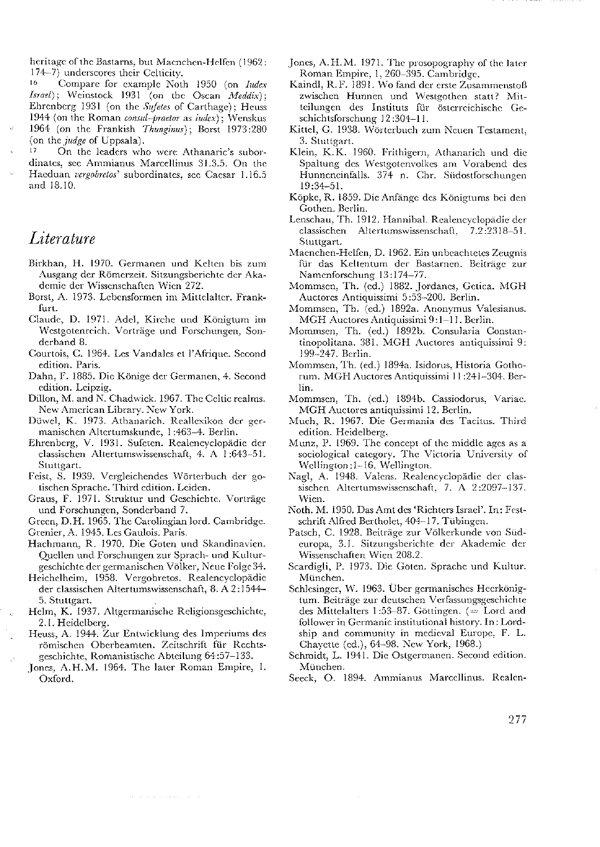heritage of the Bastarns, but Maenchen-Helfen (1962; 174-7) underscores their Celticity.

16 Compare for example Noth 1950 (on Iudex Israel); Weinstock 1931 (on the Oscan Meddix); Ehrenberg 1931 (on the Sufetes of Carthage); Heuss 1944 (on the Roman consul-praetor as iudex); Wenskus 1964 (on the Frankish Thunginus); Borst 1973:280 (on the *judge* of Uppsala).

 $17$ On the leaders who were Athanaric's subordinates, see Ammianus Marcellinus 31.3.5. On the Haeduan vergobretos' subordinates, see Caesar 1.16.5 and 18.10.

## Literature

- Birkhan, H. 1970. Germanen und Kelten bis zum Ausgang der Römerzeit. Sitzungsberichte der Akademie der Wissenschaften Wien 272.
- Borst, A. 1973. Lebensformen im Mittelalter. Frankfiret
- Claude, D. 1971. Adel, Kirche und Königtum im Westgotenreich. Vorträge und Forschungen, Sonderband 8.
- Courtois, C. 1964. Les Vandales et l'Afrique. Second edition. Paris.
- Dahn, F. 1885. Die Könige der Germanen, 4. Second edition. Leipzig.
- Dillon, M. and N. Chadwick. 1967. The Celtic realms. New American Library. New York.
- Düwel, K. 1973. Athanarich. Reallexikon der germanischen Altertumskunde, 1:463-4. Berlin.
- Ehrenberg, V. 1931. Sufeten. Realencyclopädie der classischen Altertumswissenschaft, 4. A 1:643-51. Stuttgart.
- Feist, S. 1939. Vergleichendes Wörterbuch der gotischen Sprache. Third edition. Leiden.
- Graus, F. 1971. Struktur und Geschichte. Vorträge und Forschungen, Sonderband 7.

Green, D.H. 1965. The Carolingian lord. Cambridge.

- Grenier, A. 1945. Les Gaulois. Paris.
- Hachmann, R. 1970. Die Goten und Skandinavien. Quellen und Forschungen zur Sprach- und Kulturgeschichte der germanischen Völker, Neue Folge 34.
- Heichelheim, 1958. Vergobretos. Realencyclopädie der classischen Altertumswissenschaft, 8. A 2:1544-5. Stuttgart.
- Helm, K. 1937. Altgermanische Religionsgeschichte, 2.1. Heidelberg.
- Heuss, A. 1944. Zur Entwicklung des Imperiums des römischen Oberbeamten. Zeitschrift für Rechtsgeschichte, Romanistische Abteilung 64:57-133.
- Jones, A.H.M. 1964. The later Roman Empire, 1. Oxford.

 $\alpha$  , and  $\alpha$  , and  $\alpha$  , and  $\alpha$ 

- Jones, A.H.M. 1971. The prosopography of the later Roman Empire, 1, 260-395. Cambridge.
- Kaindl, R.F. 1891. Wo fand der erste Zusammenstoß zwischen Hunnen und Westgothen statt? Mitteilungen des Instituts für österreichische Geschichtsforschung 12:304-11.
- Kittel, G. 1938. Wörterbuch zum Neuen Testament. 3. Stuttgart.
- Klein, K.K. 1960. Frithigern, Athanarich und die Spaltung des Westgotenvolkes am Vorabend des Hunneneinfalls. 374 n. Chr. Südostforschungen  $19:34 - 51.$
- Köpke, R. 1859. Die Anfänge des Königtums bei den Gothen. Berlin.
- Lenschau, Th. 1912. Hannibal. Realencyclopädie der classischen Altertumswissenschaft, 7.2:2318-51. Stuttgart.
- Maenchen-Helfen, D. 1962. Ein unbeachtetes Zeugnis für das Keltentum der Bastarnen. Beiträge zur Namenforschung 13:174-77.
- Mommsen, Th. (ed.) 1882. Jordanes, Getica. MGH Auctores Antiquissimi 5:53-200. Berlin.
- Mommsen, Th. (ed.) 1892a. Anonymus Valesianus. MGH Auctores Antiquissimi 9:1-11. Berlin.
- Mommsen, Th. (ed.) 1892b. Consularia Constantinopolitana. 381. MGH Auctores antiquissimi 9: 199-247. Berlin.
- Mommsen, Th. (ed.) 1894a. Isidorus, Historia Gothorum. MGH Auctores Antiquissimi 11:241-304. Berlin.
- Mommsen, Th. (ed.) 1894b. Cassiodorus, Variae. MGH Auctores antiquissimi 12. Berlin.
- Much, R. 1967. Die Germania des Tacitus. Third edition. Heidelberg.
- Munz, P. 1969. The concept of the middle ages as a sociological category. The Victoria University of Wellington:1-16. Wellington.
- Nagl, A. 1948. Valens. Realencyclopädie der classischen Altertumswissenschaft, 7. A 2:2097-137. Wien-
- Noth. M. 1950. Das Amt des 'Richters Israel'. In: Festschrift Alfred Bertholet, 404-17. Tübingen.
- Patsch, C. 1928. Beiträge zur Völkerkunde von Südeuropa, 3.1. Sitzungsberichte der Akademie der Wissenschaften Wien 208.2.
- Scardigli, P. 1973. Die Goten. Sprache und Kultur. München.
- Schlesinger, W. 1963. Über germanisches Heerkönigtum. Beiträge zur deutschen Verfassungsgeschichte des Mittelalters 1:53-87. Göttingen. (= Lord and follower in Germanic institutional history. In: Lordship and community in medieval Europe. F. L. Chayette (ed.), 64-98. New York, 1968.)
- Schmidt, L. 1941. Die Ostgermanen. Second edition. München.
- Seeck, O. 1894. Ammianus Marcellinus. Realen-